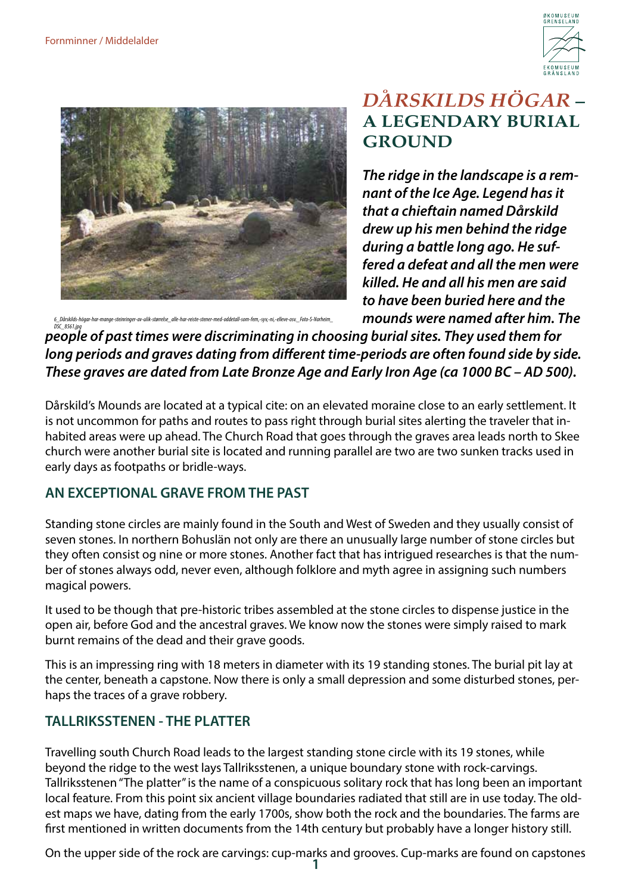



## *DÅRSKILDS HÖGAR* **– A LEGENDARY BURIAL GROUND**

*The ridge in the landscape is a remnant of the Ice Age. Legend has it that a chieftain named Dårskild drew up his men behind the ridge during a battle long ago. He suffered a defeat and all the men were killed. He and all his men are said to have been buried here and the mounds were named after him. The* 

*6\_Dårskilds-högar-har-mange-steinringer-av-ulik-størrelse\_alle-har-reiste-stener-med-oddetall-som-fem,-syv,-ni,-elleve-osv.\_Foto-S-Norheim\_*

*people of past times were discriminating in choosing burial sites. They used them for DSC\_8561.jpglong periods and graves dating from different time-periods are often found side by side. These graves are dated from Late Bronze Age and Early Iron Age (ca 1000 BC – AD 500).*

Dårskild's Mounds are located at a typical cite: on an elevated moraine close to an early settlement. It is not uncommon for paths and routes to pass right through burial sites alerting the traveler that inhabited areas were up ahead. The Church Road that goes through the graves area leads north to Skee church were another burial site is located and running parallel are two are two sunken tracks used in early days as footpaths or bridle-ways.

## **AN EXCEPTIONAL GRAVE FROM THE PAST**

Standing stone circles are mainly found in the South and West of Sweden and they usually consist of seven stones. In northern Bohuslän not only are there an unusually large number of stone circles but they often consist og nine or more stones. Another fact that has intrigued researches is that the number of stones always odd, never even, although folklore and myth agree in assigning such numbers magical powers.

It used to be though that pre-historic tribes assembled at the stone circles to dispense justice in the open air, before God and the ancestral graves. We know now the stones were simply raised to mark burnt remains of the dead and their grave goods.

This is an impressing ring with 18 meters in diameter with its 19 standing stones. The burial pit lay at the center, beneath a capstone. Now there is only a small depression and some disturbed stones, perhaps the traces of a grave robbery.

## **TALLRIKSSTENEN - THE PLATTER**

Travelling south Church Road leads to the largest standing stone circle with its 19 stones, while beyond the ridge to the west lays Tallriksstenen, a unique boundary stone with rock-carvings. Tallriksstenen "The platter" is the name of a conspicuous solitary rock that has long been an important local feature. From this point six ancient village boundaries radiated that still are in use today. The oldest maps we have, dating from the early 1700s, show both the rock and the boundaries. The farms are first mentioned in written documents from the 14th century but probably have a longer history still.

On the upper side of the rock are carvings: cup-marks and grooves. Cup-marks are found on capstones